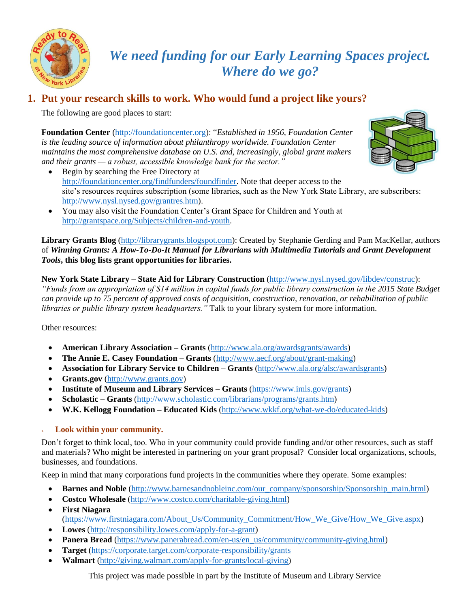

## *We need funding for our Early Learning Spaces project. Where do we go?*

### **1. Put your research skills to work. Who would fund a project like yours?**

The following are good places to start:

**Foundation Center** [\(http://foundationcenter.org\)](http://foundationcenter.org/): "*Established in 1956, Foundation Center is the leading source of information about philanthropy worldwide. Foundation Center maintains the most comprehensive database on U.S. and, increasingly, global grant makers and their grants — a robust, accessible knowledge bank for the sector."*

- Begin by searching the Free Directory at [http://foundationcenter.org/findfunders/foundfinder.](http://foundationcenter.org/findfunders/foundfinder) Note that deeper access to the site's resources requires subscription (some libraries, such as the New York State Library, are subscribers: [http://www.nysl.nysed.gov/grantres.htm\)](http://www.nysl.nysed.gov/grantres.htm).
- You may also visit the Foundation Center's Grant Space for Children and Youth at [http://grantspace.org/Subjects/children-and-youth.](http://grantspace.org/Subjects/children-and-youth)

**Library Grants Blog** [\(http://librarygrants.blogspot.com\)](http://librarygrants.blogspot.com/): Created by Stephanie Gerding and Pam MacKellar, authors of *Winning Grants: A How-To-Do-It Manual for Librarians with Multimedia Tutorials and Grant Development Tools***, this blog lists grant opportunities for libraries.**

**New York State Library – State Aid for Library Construction** [\(http://www.nysl.nysed.gov/libdev/construc\)](http://www.nysl.nysed.gov/libdev/construc): *"Funds from an appropriation of \$14 million in capital funds for public library construction in the 2015 State Budget can provide up to 75 percent of approved costs of acquisition, construction, renovation, or rehabilitation of public libraries or public library system headquarters."* Talk to your library system for more information.

Other resources:

- **American Library Association – Grants** [\(http://www.ala.org/awardsgrants/awards\)](http://www.ala.org/awardsgrants/awards)
- **The Annie E. Casey Foundation – Grants** [\(http://www.aecf.org/about/grant-making\)](http://www.aecf.org/about/grant-making/)
- **Association for Library Service to Children – Grants** [\(http://www.ala.org/alsc/awardsgrants\)](http://www.ala.org/alsc/awardsgrants)
- **Grants.gov** [\(http://www.grants.gov\)](http://www.grants.gov/)
- **Institute of Museum and Library Services – Grants** [\(https://www.imls.gov/grants\)](https://www.imls.gov/grants)
- **Scholastic – Grants** [\(http://www.scholastic.com/librarians/programs/grants.htm\)](http://www.scholastic.com/librarians/programs/grants.htm)
- **W.K. Kellogg Foundation – Educated Kids** [\(http://www.wkkf.org/what-we-do/educated-kids\)](http://www.wkkf.org/what-we-do/educated-kids)

#### **1. Look within your community.**

Don't forget to think local, too. Who in your community could provide funding and/or other resources, such as staff and materials? Who might be interested in partnering on your grant proposal? Consider local organizations, schools, businesses, and foundations.

Keep in mind that many corporations fund projects in the communities where they operate. Some examples:

- **Barnes and Noble** [\(http://www.barnesandnobleinc.com/our\\_company/sponsorship/Sponsorship\\_main.html\)](http://www.barnesandnobleinc.com/our_company/sponsorship/Sponsorship_main.html)
- Costco Wholesale [\(http://www.costco.com/charitable-giving.html\)](http://www.costco.com/charitable-giving.html)
- **First Niagara**  [\(https://www.firstniagara.com/About\\_Us/Community\\_Commitment/How\\_We\\_Give/How\\_We\\_Give.aspx\)](https://www.firstniagara.com/About_Us/Community_Commitment/How_We_Give/How_We_Give.aspx)
- **Lowes** [\(http://responsibility.lowes.com/apply-for-a-grant\)](http://responsibility.lowes.com/apply-for-a-grant)
- **Panera Bread** [\(https://www.panerabread.com/en-us/en\\_us/community/community-giving.html\)](https://www.panerabread.com/en-us/en_us/community/community-giving.html)
- **Target** [\(https://corporate.target.com/corporate-responsibility/grants](https://corporate.target.com/corporate-responsibility/grants)
- **Walmart** [\(http://giving.walmart.com/apply-for-grants/local-giving\)](http://giving.walmart.com/apply-for-grants/local-giving)

This project was made possible in part by the Institute of Museum and Library Service